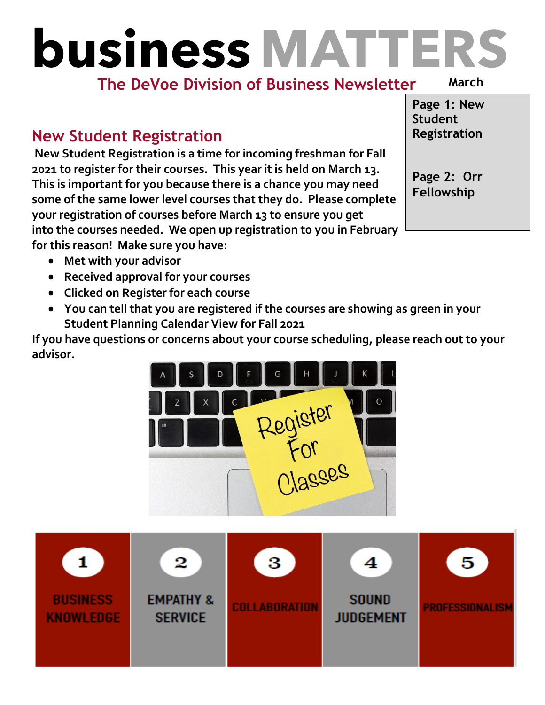# **business MATTERS**

#### **The DeVoe Division of Business Newsletter**

**March**

#### **New Student Registration**

**New Student Registration is a time for incoming freshman for Fall 2021 to register for their courses. This year it is held on March 13. This is important for you because there is a chance you may need some of the same lower level courses that they do. Please complete your registration of courses before March 13 to ensure you get into the courses needed. We open up registration to you in February for this reason! Make sure you have:** 

**Page 1: New Student Registration**

**Page 2: Orr Fellowship**

- **Met with your advisor**
- **Received approval for your courses**
- **Clicked on Register for each course**
- **You can tell that you are registered if the courses are showing as green in your Student Planning Calendar View for Fall 2021**

**If you have questions or concerns about your course scheduling, please reach out to your advisor.**